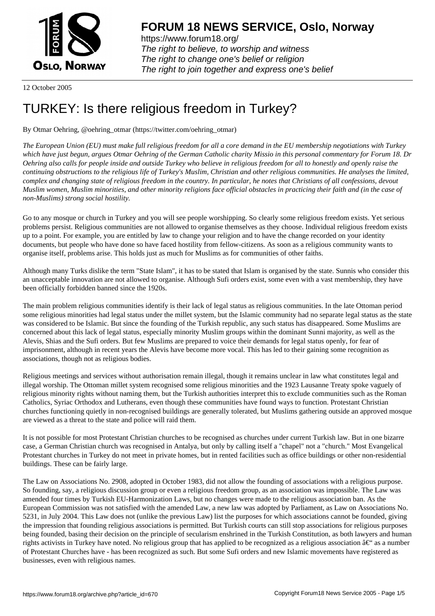

https://www.forum18.org/ The right to believe, to worship and witness The right to change one's belief or religion [The right to join together a](https://www.forum18.org/)nd express one's belief

12 October 2005

## [TURKEY: Is the](https://www.forum18.org)re religious freedom in Turkey?

By Otmar Oehring, @oehring\_otmar (https://twitter.com/oehring\_otmar)

*The European Union (EU) must make full religious freedom for all a core demand in the EU membership negotiations with Turkey which have just begun, argues Otmar Oehring of the German Catholic charity Missio in this personal commentary for Forum 18. Dr Oehring also calls for people inside and outside Turkey who believe in religious freedom for all to honestly and openly raise the continuing obstructions to the religious life of Turkey's Muslim, Christian and other religious communities. He analyses the limited, complex and changing state of religious freedom in the country. In particular, he notes that Christians of all confessions, devout Muslim women, Muslim minorities, and other minority religions face official obstacles in practicing their faith and (in the case of non-Muslims) strong social hostility.*

Go to any mosque or church in Turkey and you will see people worshipping. So clearly some religious freedom exists. Yet serious problems persist. Religious communities are not allowed to organise themselves as they choose. Individual religious freedom exists up to a point. For example, you are entitled by law to change your religion and to have the change recorded on your identity documents, but people who have done so have faced hostility from fellow-citizens. As soon as a religious community wants to organise itself, problems arise. This holds just as much for Muslims as for communities of other faiths.

Although many Turks dislike the term "State Islam", it has to be stated that Islam is organised by the state. Sunnis who consider this an unacceptable innovation are not allowed to organise. Although Sufi orders exist, some even with a vast membership, they have been officially forbidden banned since the 1920s.

The main problem religious communities identify is their lack of legal status as religious communities. In the late Ottoman period some religious minorities had legal status under the millet system, but the Islamic community had no separate legal status as the state was considered to be Islamic. But since the founding of the Turkish republic, any such status has disappeared. Some Muslims are concerned about this lack of legal status, especially minority Muslim groups within the dominant Sunni majority, as well as the Alevis, Shias and the Sufi orders. But few Muslims are prepared to voice their demands for legal status openly, for fear of imprisonment, although in recent years the Alevis have become more vocal. This has led to their gaining some recognition as associations, though not as religious bodies.

Religious meetings and services without authorisation remain illegal, though it remains unclear in law what constitutes legal and illegal worship. The Ottoman millet system recognised some religious minorities and the 1923 Lausanne Treaty spoke vaguely of religious minority rights without naming them, but the Turkish authorities interpret this to exclude communities such as the Roman Catholics, Syriac Orthodox and Lutherans, even though these communities have found ways to function. Protestant Christian churches functioning quietly in non-recognised buildings are generally tolerated, but Muslims gathering outside an approved mosque are viewed as a threat to the state and police will raid them.

It is not possible for most Protestant Christian churches to be recognised as churches under current Turkish law. But in one bizarre case, a German Christian church was recognised in Antalya, but only by calling itself a "chapel" not a "church." Most Evangelical Protestant churches in Turkey do not meet in private homes, but in rented facilities such as office buildings or other non-residential buildings. These can be fairly large.

The Law on Associations No. 2908, adopted in October 1983, did not allow the founding of associations with a religious purpose. So founding, say, a religious discussion group or even a religious freedom group, as an association was impossible. The Law was amended four times by Turkish EU-Harmonization Laws, but no changes were made to the religious association ban. As the European Commission was not satisfied with the amended Law, a new law was adopted by Parliament, as Law on Associations No. 5231, in July 2004. This Law does not (unlike the previous Law) list the purposes for which associations cannot be founded, giving the impression that founding religious associations is permitted. But Turkish courts can still stop associations for religious purposes being founded, basing their decision on the principle of secularism enshrined in the Turkish Constitution, as both lawyers and human rights activists in Turkey have noted. No religious group that has applied to be recognized as a religious association  $\hat{a}\epsilon^{\mu}$  as a number of Protestant Churches have - has been recognized as such. But some Sufi orders and new Islamic movements have registered as businesses, even with religious names.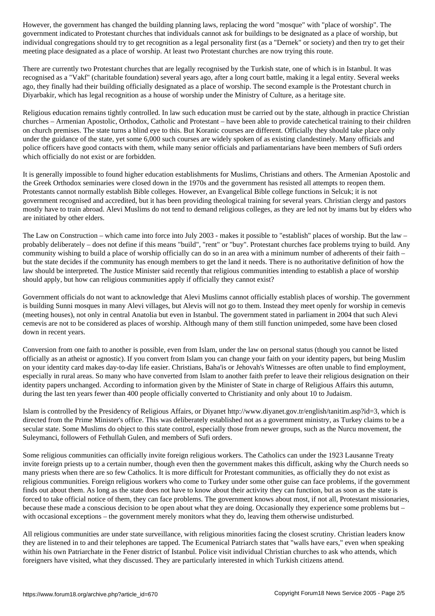government indicated to Protestant churches that individuals cannot ask for buildings to be designated as a place of worship, but individual congregations should try to get recognition as a legal personality first (as a "Dernek" or society) and then try to get their meeting place designated as a place of worship. At least two Protestant churches are now trying this route.

There are currently two Protestant churches that are legally recognised by the Turkish state, one of which is in Istanbul. It was recognised as a "Vakf" (charitable foundation) several years ago, after a long court battle, making it a legal entity. Several weeks ago, they finally had their building officially designated as a place of worship. The second example is the Protestant church in Diyarbakir, which has legal recognition as a house of worship under the Ministry of Culture, as a heritage site.

Religious education remains tightly controlled. In law such education must be carried out by the state, although in practice Christian churches – Armenian Apostolic, Orthodox, Catholic and Protestant – have been able to provide catechetical training to their children on church premises. The state turns a blind eye to this. But Koranic courses are different. Officially they should take place only under the guidance of the state, yet some 6,000 such courses are widely spoken of as existing clandestinely. Many officials and police officers have good contacts with them, while many senior officials and parliamentarians have been members of Sufi orders which officially do not exist or are forbidden.

It is generally impossible to found higher education establishments for Muslims, Christians and others. The Armenian Apostolic and the Greek Orthodox seminaries were closed down in the 1970s and the government has resisted all attempts to reopen them. Protestants cannot normally establish Bible colleges. However, an Evangelical Bible college functions in Selcuk; it is not government recognised and accredited, but it has been providing theological training for several years. Christian clergy and pastors mostly have to train abroad. Alevi Muslims do not tend to demand religious colleges, as they are led not by imams but by elders who are initiated by other elders.

The Law on Construction – which came into force into July 2003 - makes it possible to "establish" places of worship. But the law – probably deliberately – does not define if this means "build", "rent" or "buy". Protestant churches face problems trying to build. Any community wishing to build a place of worship officially can do so in an area with a minimum number of adherents of their faith – but the state decides if the community has enough members to get the land it needs. There is no authoritative definition of how the law should be interpreted. The Justice Minister said recently that religious communities intending to establish a place of worship should apply, but how can religious communities apply if officially they cannot exist?

Government officials do not want to acknowledge that Alevi Muslims cannot officially establish places of worship. The government is building Sunni mosques in many Alevi villages, but Alevis will not go to them. Instead they meet openly for worship in cemevis (meeting houses), not only in central Anatolia but even in Istanbul. The government stated in parliament in 2004 that such Alevi cemevis are not to be considered as places of worship. Although many of them still function unimpeded, some have been closed down in recent years.

Conversion from one faith to another is possible, even from Islam, under the law on personal status (though you cannot be listed officially as an atheist or agnostic). If you convert from Islam you can change your faith on your identity papers, but being Muslim on your identity card makes day-to-day life easier. Christians, Baha'is or Jehovah's Witnesses are often unable to find employment, especially in rural areas. So many who have converted from Islam to another faith prefer to leave their religious designation on their identity papers unchanged. According to information given by the Minister of State in charge of Religious Affairs this autumn, during the last ten years fewer than 400 people officially converted to Christianity and only about 10 to Judaism.

Islam is controlled by the Presidency of Religious Affairs, or Diyanet http://www.diyanet.gov.tr/english/tanitim.asp?id=3, which is directed from the Prime Minister's office. This was deliberately established not as a government ministry, as Turkey claims to be a secular state. Some Muslims do object to this state control, especially those from newer groups, such as the Nurcu movement, the Suleymanci, followers of Fethullah Gulen, and members of Sufi orders.

Some religious communities can officially invite foreign religious workers. The Catholics can under the 1923 Lausanne Treaty invite foreign priests up to a certain number, though even then the government makes this difficult, asking why the Church needs so many priests when there are so few Catholics. It is more difficult for Protestant communities, as officially they do not exist as religious communities. Foreign religious workers who come to Turkey under some other guise can face problems, if the government finds out about them. As long as the state does not have to know about their activity they can function, but as soon as the state is forced to take official notice of them, they can face problems. The government knows about most, if not all, Protestant missionaries, because these made a conscious decision to be open about what they are doing. Occasionally they experience some problems but – with occasional exceptions – the government merely monitors what they do, leaving them otherwise undisturbed.

All religious communities are under state surveillance, with religious minorities facing the closest scrutiny. Christian leaders know they are listened in to and their telephones are tapped. The Ecumenical Patriarch states that "walls have ears," even when speaking within his own Patriarchate in the Fener district of Istanbul. Police visit individual Christian churches to ask who attends, which foreigners have visited, what they discussed. They are particularly interested in which Turkish citizens attend.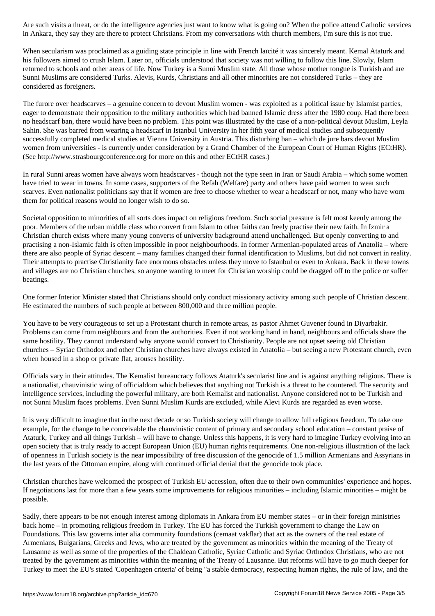in Ankara, they say they are there to protect Christians. From my conversations with church members, I'm sure this is not true.

When secularism was proclaimed as a guiding state principle in line with French laïcité it was sincerely meant. Kemal Ataturk and his followers aimed to crush Islam. Later on, officials understood that society was not willing to follow this line. Slowly, Islam returned to schools and other areas of life. Now Turkey is a Sunni Muslim state. All those whose mother tongue is Turkish and are Sunni Muslims are considered Turks. Alevis, Kurds, Christians and all other minorities are not considered Turks – they are considered as foreigners.

The furore over headscarves – a genuine concern to devout Muslim women - was exploited as a political issue by Islamist parties, eager to demonstrate their opposition to the military authorities which had banned Islamic dress after the 1980 coup. Had there been no headscarf ban, there would have been no problem. This point was illustrated by the case of a non-political devout Muslim, Leyla Sahin. She was barred from wearing a headscarf in Istanbul University in her fifth year of medical studies and subsequently successfully completed medical studies at Vienna University in Austria. This disturbing ban – which de jure bars devout Muslim women from universities - is currently under consideration by a Grand Chamber of the European Court of Human Rights (ECtHR). (See http://www.strasbourgconference.org for more on this and other ECtHR cases.)

In rural Sunni areas women have always worn headscarves - though not the type seen in Iran or Saudi Arabia – which some women have tried to wear in towns. In some cases, supporters of the Refah (Welfare) party and others have paid women to wear such scarves. Even nationalist politicians say that if women are free to choose whether to wear a headscarf or not, many who have worn them for political reasons would no longer wish to do so.

Societal opposition to minorities of all sorts does impact on religious freedom. Such social pressure is felt most keenly among the poor. Members of the urban middle class who convert from Islam to other faiths can freely practise their new faith. In Izmir a Christian church exists where many young converts of university background attend unchallenged. But openly converting to and practising a non-Islamic faith is often impossible in poor neighbourhoods. In former Armenian-populated areas of Anatolia – where there are also people of Syriac descent – many families changed their formal identification to Muslims, but did not convert in reality. Their attempts to practise Christianity face enormous obstacles unless they move to Istanbul or even to Ankara. Back in these towns and villages are no Christian churches, so anyone wanting to meet for Christian worship could be dragged off to the police or suffer beatings.

One former Interior Minister stated that Christians should only conduct missionary activity among such people of Christian descent. He estimated the numbers of such people at between 800,000 and three million people.

You have to be very courageous to set up a Protestant church in remote areas, as pastor Ahmet Guvener found in Diyarbakir. Problems can come from neighbours and from the authorities. Even if not working hand in hand, neighbours and officials share the same hostility. They cannot understand why anyone would convert to Christianity. People are not upset seeing old Christian churches – Syriac Orthodox and other Christian churches have always existed in Anatolia – but seeing a new Protestant church, even when housed in a shop or private flat, arouses hostility.

Officials vary in their attitudes. The Kemalist bureaucracy follows Ataturk's secularist line and is against anything religious. There is a nationalist, chauvinistic wing of officialdom which believes that anything not Turkish is a threat to be countered. The security and intelligence services, including the powerful military, are both Kemalist and nationalist. Anyone considered not to be Turkish and not Sunni Muslim faces problems. Even Sunni Muslim Kurds are excluded, while Alevi Kurds are regarded as even worse.

It is very difficult to imagine that in the next decade or so Turkish society will change to allow full religious freedom. To take one example, for the change to be conceivable the chauvinistic content of primary and secondary school education – constant praise of Ataturk, Turkey and all things Turkish – will have to change. Unless this happens, it is very hard to imagine Turkey evolving into an open society that is truly ready to accept European Union (EU) human rights requirements. One non-religious illustration of the lack of openness in Turkish society is the near impossibility of free discussion of the genocide of 1.5 million Armenians and Assyrians in the last years of the Ottoman empire, along with continued official denial that the genocide took place.

Christian churches have welcomed the prospect of Turkish EU accession, often due to their own communities' experience and hopes. If negotiations last for more than a few years some improvements for religious minorities – including Islamic minorities – might be possible.

Sadly, there appears to be not enough interest among diplomats in Ankara from EU member states – or in their foreign ministries back home – in promoting religious freedom in Turkey. The EU has forced the Turkish government to change the Law on Foundations. This law governs inter alia community foundations (cemaat vakflar) that act as the owners of the real estate of Armenians, Bulgarians, Greeks and Jews, who are treated by the government as minorities within the meaning of the Treaty of Lausanne as well as some of the properties of the Chaldean Catholic, Syriac Catholic and Syriac Orthodox Christians, who are not treated by the government as minorities within the meaning of the Treaty of Lausanne. But reforms will have to go much deeper for Turkey to meet the EU's stated 'Copenhagen criteria' of being "a stable democracy, respecting human rights, the rule of law, and the